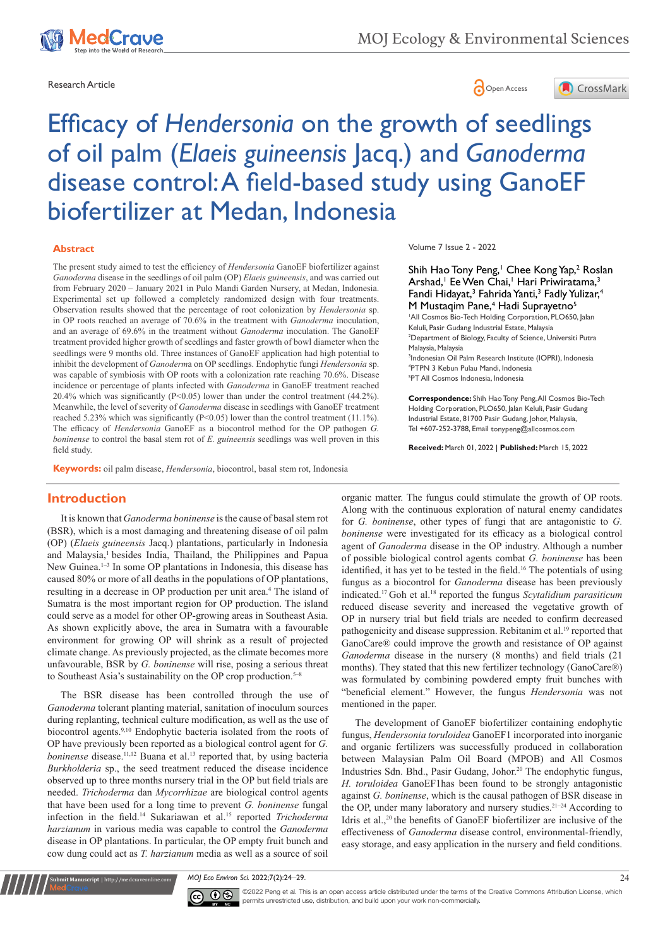

Research Article **Contracts** Contracts and Contracts Contracts Contracts Contracts Contracts Contracts Contracts Contracts Contracts Contracts Contracts Contracts Contracts Contracts Contracts Contracts Contracts Contracts



# Efficacy of *Hendersonia* on the growth of seedlings of oil palm (*Elaeis guineensis* Jacq.) and *Ganoderma* disease control: A field-based study using GanoEF biofertilizer at Medan, Indonesia

#### **Abstract**

The present study aimed to test the efficiency of *Hendersonia* GanoEF biofertilizer against *Ganoderma* disease in the seedlings of oil palm (OP) *Elaeis guineensis*, and was carried out from February 2020 – January 2021 in Pulo Mandi Garden Nursery, at Medan, Indonesia. Experimental set up followed a completely randomized design with four treatments. Observation results showed that the percentage of root colonization by *Hendersonia* sp. in OP roots reached an average of 70.6% in the treatment with *Ganoderma* inoculation, and an average of 69.6% in the treatment without *Ganoderma* inoculation. The GanoEF treatment provided higher growth of seedlings and faster growth of bowl diameter when the seedlings were 9 months old. Three instances of GanoEF application had high potential to inhibit the development of *Ganoderm*a on OP seedlings. Endophytic fungi *Hendersonia* sp. was capable of symbiosis with OP roots with a colonization rate reaching 70.6%. Disease incidence or percentage of plants infected with *Ganoderma* in GanoEF treatment reached 20.4% which was significantly (P<0.05) lower than under the control treatment (44.2%). Meanwhile, the level of severity of *Ganoderma* disease in seedlings with GanoEF treatment reached 5.23% which was significantly (P<0.05) lower than the control treatment (11.1%). The efficacy of *Hendersonia* GanoEF as a biocontrol method for the OP pathogen *G. boninense* to control the basal stem rot of *E. guineensis* seedlings was well proven in this field study.

**Keywords:** oil palm disease, *Hendersonia*, biocontrol, basal stem rot, Indonesia

# **Introduction**

It is known that *Ganoderma boninense* is the cause of basal stem rot (BSR), which is a most damaging and threatening disease of oil palm (OP) (*Elaeis guineensis* Jacq.) plantations, particularly in Indonesia and Malaysia,<sup>1</sup> besides India, Thailand, the Philippines and Papua New Guinea.<sup>1-3</sup> In some OP plantations in Indonesia, this disease has caused 80% or more of all deaths in the populations of OP plantations, resulting in a decrease in OP production per unit area.<sup>4</sup> The island of Sumatra is the most important region for OP production. The island could serve as a model for other OP-growing areas in Southeast Asia. As shown explicitly above, the area in Sumatra with a favourable environment for growing OP will shrink as a result of projected climate change. As previously projected, as the climate becomes more unfavourable, BSR by *G. boninense* will rise, posing a serious threat to Southeast Asia's sustainability on the OP crop production.<sup>5–8</sup>

The BSR disease has been controlled through the use of *Ganoderma* tolerant planting material, sanitation of inoculum sources during replanting, technical culture modification, as well as the use of biocontrol agents.9,10 Endophytic bacteria isolated from the roots of OP have previously been reported as a biological control agent for *G. boninense* disease.<sup>11,12</sup> Buana et al.<sup>13</sup> reported that, by using bacteria *Burkholderia* sp., the seed treatment reduced the disease incidence observed up to three months nursery trial in the OP but field trials are needed. *Trichoderma* dan *Mycorrhizae* are biological control agents that have been used for a long time to prevent *G. boninense* fungal infection in the field.14 Sukariawan et al.15 reported *Trichoderma harzianum* in various media was capable to control the *Ganoderma* disease in OP plantations. In particular, the OP empty fruit bunch and cow dung could act as *T. harzianum* media as well as a source of soil

Volume 7 Issue 2 - 2022

Shih Hao Tony Peng,<sup>1</sup> Chee Kong Yap,<sup>2</sup> Roslan Arshad, Ee Wen Chai, Hari Priwiratama,<sup>3</sup> Fandi Hidayat,<sup>3</sup> Fahrida Yanti,<sup>3</sup> Fadly Yulizar,<sup>4</sup> M Mustaqim Pane,<sup>4</sup> Hadi Suprayetno<sup>5</sup> <sup>1</sup>All Cosmos Bio-Tech Holding Corporation, PLO650, Jalan Keluli, Pasir Gudang Industrial Estate, Malaysia 2 Department of Biology, Faculty of Science, Universiti Putra Malaysia, Malaysia 3 Indonesian Oil Palm Research Institute (IOPRI), Indonesia 4 PTPN 3 Kebun Pulau Mandi, Indonesia 5 PT All Cosmos Indonesia, Indonesia

**Correspondence:** Shih Hao Tony Peng, All Cosmos Bio-Tech Holding Corporation, PLO650, Jalan Keluli, Pasir Gudang Industrial Estate, 81700 Pasir Gudang, Johor, Malaysia, Tel +607-252-3788, Email tonypeng@allcosmos.com

**Received:** March 01, 2022 | **Published:** March 15, 2022

organic matter. The fungus could stimulate the growth of OP roots. Along with the continuous exploration of natural enemy candidates for *G. boninense*, other types of fungi that are antagonistic to *G. boninense* were investigated for its efficacy as a biological control agent of *Ganoderma* disease in the OP industry. Although a number of possible biological control agents combat *G. boninense* has been identified, it has yet to be tested in the field.16 The potentials of using fungus as a biocontrol for *Ganoderma* disease has been previously indicated.17 Goh et al.18 reported the fungus *Scytalidium parasiticum*  reduced disease severity and increased the vegetative growth of OP in nursery trial but field trials are needed to confirm decreased pathogenicity and disease suppression. Rebitanim et al.19 reported that GanoCare® could improve the growth and resistance of OP against *Ganoderma* disease in the nursery (8 months) and field trials (21 months). They stated that this new fertilizer technology (GanoCare®) was formulated by combining powdered empty fruit bunches with "beneficial element." However, the fungus *Hendersonia* was not mentioned in the paper.

The development of GanoEF biofertilizer containing endophytic fungus, *Hendersonia toruloidea* GanoEF1 incorporated into inorganic and organic fertilizers was successfully produced in collaboration between Malaysian Palm Oil Board (MPOB) and All Cosmos Industries Sdn. Bhd., Pasir Gudang, Johor.<sup>20</sup> The endophytic fungus, *H. toruloidea* GanoEF1has been found to be strongly antagonistic against *G. boninense*, which is the causal pathogen of BSR disease in the OP, under many laboratory and nursery studies.<sup>21–24</sup> According to Idris et al.,<sup>20</sup> the benefits of GanoEF biofertilizer are inclusive of the effectiveness of *Ganoderma* disease control, environmental-friendly, easy storage, and easy application in the nursery and field conditions.

*MOJ Eco Environ Sci.* 2022;7(2):24‒29. 24



**it Manuscript** | http://medcraveonline.c

 $\overline{\mathbf{c}}$   $\overline{\mathbf{c}}$   $\odot$   $\odot$  2022 Peng et al. This is an open access article distributed under the terms of the [Creative Commons Attribution License](https://creativecommons.org/licenses/by-nc/4.0/), which permits unrestricted use, distribution, and build upon your work non-commercially.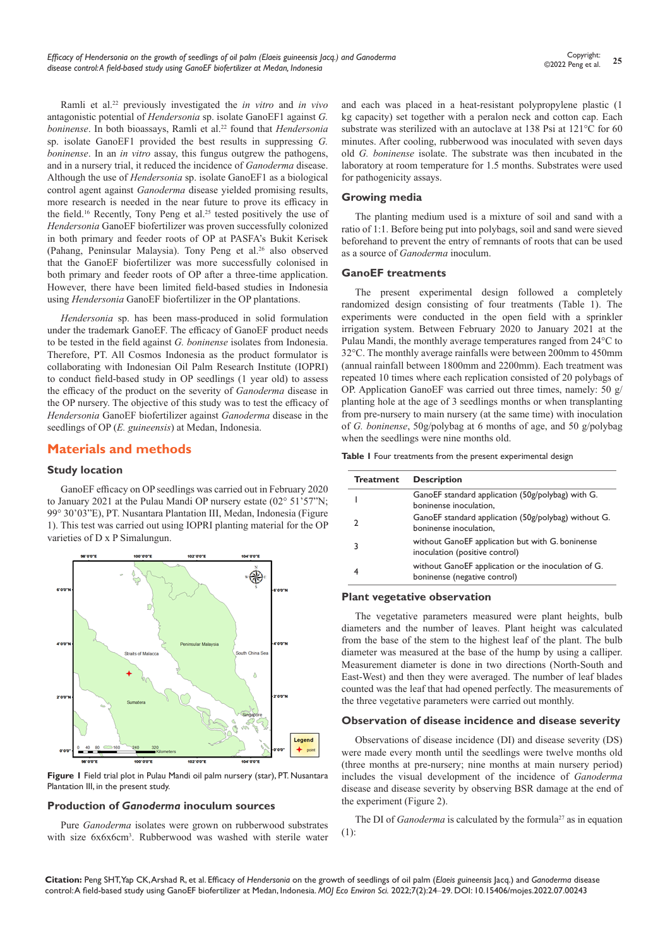Ramli et al.22 previously investigated the *in vitro* and *in vivo* antagonistic potential of *Hendersonia* sp. isolate GanoEF1 against *G. boninense*. In both bioassays, Ramli et al.<sup>22</sup> found that *Hendersonia* sp. isolate GanoEF1 provided the best results in suppressing *G. boninense*. In an *in vitro* assay, this fungus outgrew the pathogens, and in a nursery trial, it reduced the incidence of *Ganoderma* disease. Although the use of *Hendersonia* sp. isolate GanoEF1 as a biological control agent against *Ganoderma* disease yielded promising results, more research is needed in the near future to prove its efficacy in the field.<sup>16</sup> Recently, Tony Peng et al.<sup>25</sup> tested positively the use of *Hendersonia* GanoEF biofertilizer was proven successfully colonized in both primary and feeder roots of OP at PASFA's Bukit Kerisek (Pahang, Peninsular Malaysia). Tony Peng et al.26 also observed that the GanoEF biofertilizer was more successfully colonised in both primary and feeder roots of OP after a three-time application. However, there have been limited field-based studies in Indonesia using *Hendersonia* GanoEF biofertilizer in the OP plantations.

*Hendersonia* sp. has been mass-produced in solid formulation under the trademark GanoEF. The efficacy of GanoEF product needs to be tested in the field against *G. boninense* isolates from Indonesia. Therefore, PT. All Cosmos Indonesia as the product formulator is collaborating with Indonesian Oil Palm Research Institute (IOPRI) to conduct field-based study in OP seedlings (1 year old) to assess the efficacy of the product on the severity of *Ganoderma* disease in the OP nursery. The objective of this study was to test the efficacy of *Hendersonia* GanoEF biofertilizer against *Ganoderma* disease in the seedlings of OP (*E. guineensis*) at Medan, Indonesia.

# **Materials and methods**

### **Study location**

GanoEF efficacy on OP seedlings was carried out in February 2020 to January 2021 at the Pulau Mandi OP nursery estate (02° 51'57"N; 99° 30'03"E), PT. Nusantara Plantation III, Medan, Indonesia (Figure 1). This test was carried out using IOPRI planting material for the OP varieties of D x P Simalungun.



**Figure 1** Field trial plot in Pulau Mandi oil palm nursery (star), PT. Nusantara Plantation III, in the present study.

#### **Production of** *Ganoderma* **inoculum sources**

Pure *Ganoderma* isolates were grown on rubberwood substrates with size 6x6x6cm<sup>3</sup>. Rubberwood was washed with sterile water and each was placed in a heat-resistant polypropylene plastic (1 kg capacity) set together with a peralon neck and cotton cap. Each substrate was sterilized with an autoclave at 138 Psi at 121°C for 60 minutes. After cooling, rubberwood was inoculated with seven days old *G. boninense* isolate. The substrate was then incubated in the laboratory at room temperature for 1.5 months. Substrates were used for pathogenicity assays.

#### **Growing media**

The planting medium used is a mixture of soil and sand with a ratio of 1:1. Before being put into polybags, soil and sand were sieved beforehand to prevent the entry of remnants of roots that can be used as a source of *Ganoderma* inoculum.

#### **GanoEF treatments**

The present experimental design followed a completely randomized design consisting of four treatments (Table 1). The experiments were conducted in the open field with a sprinkler irrigation system. Between February 2020 to January 2021 at the Pulau Mandi, the monthly average temperatures ranged from 24°C to 32°C. The monthly average rainfalls were between 200mm to 450mm (annual rainfall between 1800mm and 2200mm). Each treatment was repeated 10 times where each replication consisted of 20 polybags of OP. Application GanoEF was carried out three times, namely: 50 g/ planting hole at the age of 3 seedlings months or when transplanting from pre-nursery to main nursery (at the same time) with inoculation of *G. boninense*, 50g/polybag at 6 months of age, and 50 g/polybag when the seedlings were nine months old.

**Table 1** Four treatments from the present experimental design

| <b>Treatment</b> | <b>Description</b>                                                                  |
|------------------|-------------------------------------------------------------------------------------|
|                  | GanoEF standard application (50g/polybag) with G.<br>boninense inoculation,         |
| 7                | GanoEF standard application (50g/polybag) without G.<br>boninense inoculation,      |
| 3                | without GanoEF application but with G. boninense<br>inoculation (positive control)  |
| 4                | without GanoEF application or the inoculation of G.<br>boninense (negative control) |

# **Plant vegetative observation**

The vegetative parameters measured were plant heights, bulb diameters and the number of leaves. Plant height was calculated from the base of the stem to the highest leaf of the plant. The bulb diameter was measured at the base of the hump by using a calliper. Measurement diameter is done in two directions (North-South and East-West) and then they were averaged. The number of leaf blades counted was the leaf that had opened perfectly. The measurements of the three vegetative parameters were carried out monthly.

#### **Observation of disease incidence and disease severity**

Observations of disease incidence (DI) and disease severity (DS) were made every month until the seedlings were twelve months old (three months at pre-nursery; nine months at main nursery period) includes the visual development of the incidence of *Ganoderma* disease and disease severity by observing BSR damage at the end of the experiment (Figure 2).

The DI of *Ganoderma* is calculated by the formula<sup>27</sup> as in equation (1):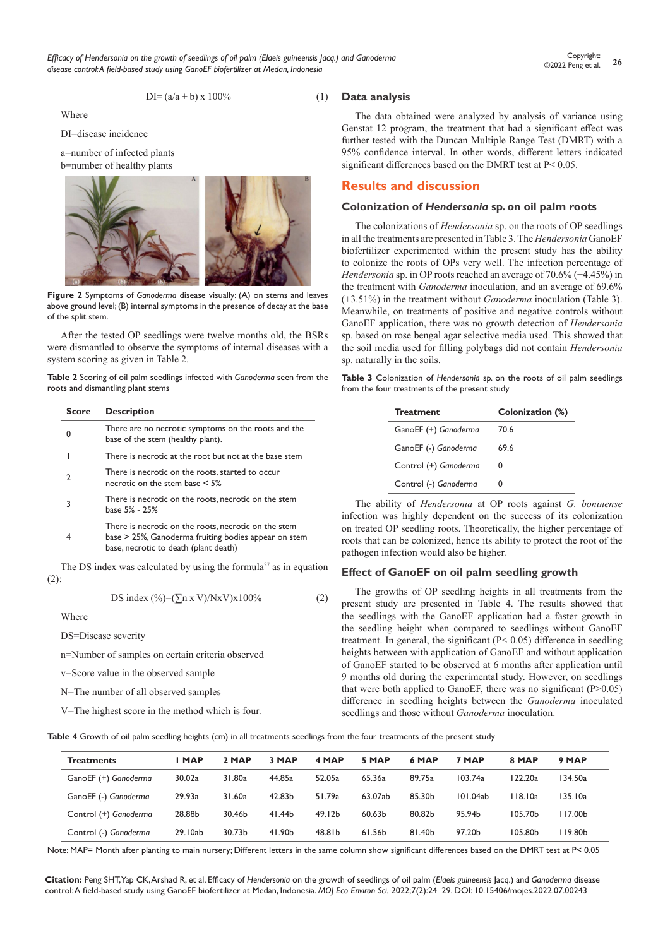*Efficacy of Hendersonia on the growth of seedlings of oil palm (Elaeis guineensis Jacq.) and Ganoderma disease control: A field-based study using GanoEF biofertilizer at Medan, Indonesia*

$$
DI = (a/a + b) \times 100\% \tag{1}
$$

Where

DI=disease incidence

a=number of infected plants



**Figure 2** Symptoms of *Ganoderma* disease visually: (A) on stems and leaves above ground level; (B) internal symptoms in the presence of decay at the base of the split stem.

After the tested OP seedlings were twelve months old, the BSRs were dismantled to observe the symptoms of internal diseases with a system scoring as given in Table 2.

**Table 2** Scoring of oil palm seedlings infected with *Ganoderma* seen from the roots and dismantling plant stems

| <b>Score</b> | <b>Description</b>                                                                                                                                    |
|--------------|-------------------------------------------------------------------------------------------------------------------------------------------------------|
| $\Omega$     | There are no necrotic symptoms on the roots and the<br>base of the stem (healthy plant).                                                              |
|              | There is necrotic at the root but not at the base stem                                                                                                |
| 2            | There is necrotic on the roots, started to occur<br>necrotic on the stem base $\leq 5\%$                                                              |
| 3            | There is necrotic on the roots, necrotic on the stem<br>base 5% - 25%                                                                                 |
|              | There is necrotic on the roots, necrotic on the stem<br>base > 25%, Ganoderma fruiting bodies appear on stem<br>base, necrotic to death (plant death) |

The DS index was calculated by using the formula<sup>27</sup> as in equation (2):

DS index  $(\frac{\%}{\pi}) = (\sum n x V) / N x V x 100\%$  (2)

Where

DS=Disease severity

n=Number of samples on certain criteria observed

v=Score value in the observed sample

N=The number of all observed samples

V=The highest score in the method which is four.

#### **Data analysis**

The data obtained were analyzed by analysis of variance using Genstat 12 program, the treatment that had a significant effect was further tested with the Duncan Multiple Range Test (DMRT) with a 95% confidence interval. In other words, different letters indicated significant differences based on the DMRT test at P< 0.05.

# **Results and discussion**

#### **Colonization of** *Hendersonia* **sp. on oil palm roots**

The colonizations of *Hendersonia* sp. on the roots of OP seedlings in all the treatments are presented in Table 3. The *Hendersonia* GanoEF biofertilizer experimented within the present study has the ability to colonize the roots of OPs very well. The infection percentage of *Hendersonia* sp. in OP roots reached an average of 70.6% (+4.45%) in the treatment with *Ganoderma* inoculation, and an average of 69.6% (+3.51%) in the treatment without *Ganoderma* inoculation (Table 3). Meanwhile, on treatments of positive and negative controls without GanoEF application, there was no growth detection of *Hendersonia* sp. based on rose bengal agar selective media used. This showed that the soil media used for filling polybags did not contain *Hendersonia* sp. naturally in the soils.

**Table 3** Colonization of *Hendersonia* sp. on the roots of oil palm seedlings from the four treatments of the present study

| <b>Treatment</b>      | Colonization (%) |
|-----------------------|------------------|
|                       |                  |
| GanoEF (+) Ganoderma  | 70.6             |
| GanoEF (-) Ganoderma  | 69.6             |
| Control (+) Ganoderma | 0                |
| Control (-) Ganoderma | O                |

The ability of *Hendersonia* at OP roots against *G. boninense* infection was highly dependent on the success of its colonization on treated OP seedling roots. Theoretically, the higher percentage of roots that can be colonized, hence its ability to protect the root of the pathogen infection would also be higher.

# **Effect of GanoEF on oil palm seedling growth**

The growths of OP seedling heights in all treatments from the present study are presented in Table 4. The results showed that the seedlings with the GanoEF application had a faster growth in the seedling height when compared to seedlings without GanoEF treatment. In general, the significant  $(P< 0.05)$  difference in seedling heights between with application of GanoEF and without application of GanoEF started to be observed at 6 months after application until 9 months old during the experimental study. However, on seedlings that were both applied to GanoEF, there was no significant  $(P>0.05)$ difference in seedling heights between the *Ganoderma* inoculated seedlings and those without *Ganoderma* inoculation.

**Table 4** Growth of oil palm seedling heights (cm) in all treatments seedlings from the four treatments of the present study

| <b>Treatments</b>     | I MAP   | 2 MAP  | 3 MAP  | 4 MAP              | 5 MAP   | 6 MAP  | 7 MAP    | 8 MAP   | 9 MAP     |
|-----------------------|---------|--------|--------|--------------------|---------|--------|----------|---------|-----------|
| GanoEF (+) Ganoderma  | 30.02a  | 31.80a | 44.85a | 52.05a             | 65.36a  | 89.75a | 103.74a  | 122.20a | 134.50a   |
| GanoEF (-) Ganoderma  | 29.93a  | 31.60a | 42.83b | 51.79a             | 63.07ab | 85.30b | 101.04ab | 118.10a | 135.10a   |
| Control (+) Ganoderma | 28.88b  | 30.46b | 41.44b | 49.12 <sub>b</sub> | 60.63b  | 80.82b | 95.94b   | 105.70b | l I 7.00b |
| Control (-) Ganoderma | 29.10ab | 30.73b | 41.90b | 48.81b             | 61.56b  | 81.40b | 97.20b   | 105.80b | l 19.80b  |

Note: MAP= Month after planting to main nursery; Different letters in the same column show significant differences based on the DMRT test at P< 0.05

**Citation:** Peng SHT, Yap CK, Arshad R, et al. Efficacy of *Hendersonia* on the growth of seedlings of oil palm (*Elaeis guineensis* Jacq.) and *Ganoderma* disease control: A field-based study using GanoEF biofertilizer at Medan, Indonesia. *MOJ Eco Environ Sci.* 2022;7(2):24‒29. DOI: [10.15406/mojes.2022.07.00243](https://doi.org/10.15406/mojes.2022.07.00243)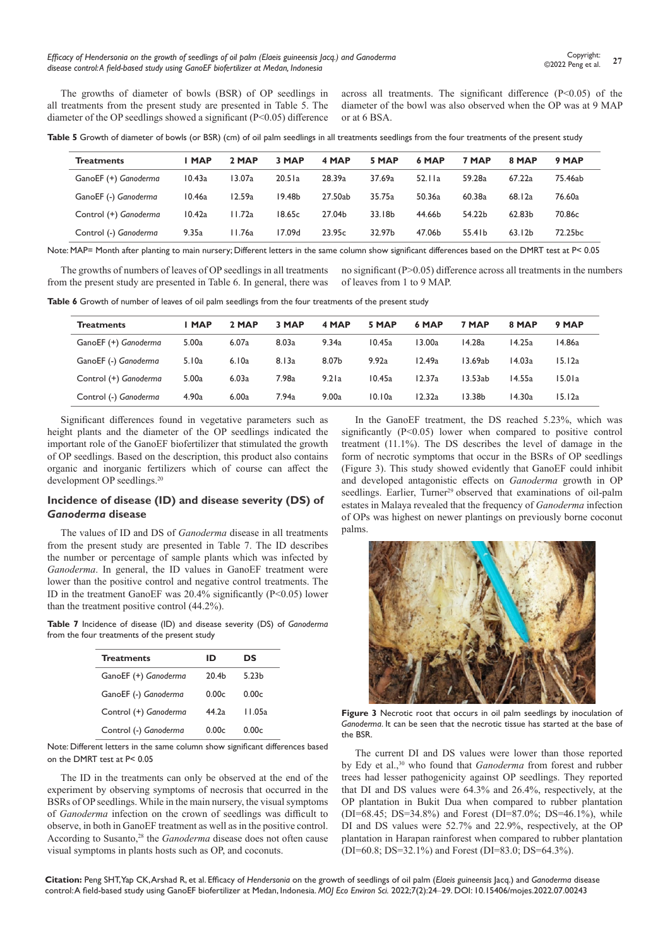*Efficacy of Hendersonia on the growth of seedlings of oil palm (Elaeis guineensis Jacq.) and Ganoderma disease control: A field-based study using GanoEF biofertilizer at Medan, Indonesia*

The growths of diameter of bowls (BSR) of OP seedlings in all treatments from the present study are presented in Table 5. The diameter of the OP seedlings showed a significant (P<0.05) difference across all treatments. The significant difference  $(P<0.05)$  of the diameter of the bowl was also observed when the OP was at 9 MAP or at 6 BSA.

Table 5 Growth of diameter of bowls (or BSR) (cm) of oil palm seedlings in all treatments seedlings from the four treatments of the present study

| <b>Treatments</b>     | <b>MAP</b> | 2 MAP  | 3 MAP              | 4 MAP   | 5 MAP  | 6 MAP  | 7 MAP  | 8 MAP              | 9 MAP   |
|-----------------------|------------|--------|--------------------|---------|--------|--------|--------|--------------------|---------|
| GanoEF (+) Ganoderma  | 10.43a     | 13.07a | 20.51a             | 28.39a  | 37.69a | 52.11a | 59.28a | 67.22a             | 75.46ab |
| GanoEF (-) Ganoderma  | 10.46a     | 12.59a | 19.48 <sub>b</sub> | 27.50ab | 35.75a | 50.36a | 60.38a | 68.12a             | 76.60a  |
| Control (+) Ganoderma | 10.42a     | 11.72a | 18.65c             | 27.04b  | 33.18b | 44.66b | 54.22b | 62.83 <sub>b</sub> | 70.86c  |
| Control (-) Ganoderma | 9.35a      | 11.76a | 17.09d             | 23.95c  | 32.97b | 47.06b | 55.41b | 63.12 <sub>b</sub> | 72.25bc |
|                       |            |        |                    |         |        |        |        |                    |         |

Note: MAP= Month after planting to main nursery; Different letters in the same column show significant differences based on the DMRT test at P< 0.05

The growths of numbers of leaves of OP seedlings in all treatments from the present study are presented in Table 6. In general, there was no significant (P>0.05) difference across all treatments in the numbers of leaves from 1 to 9 MAP.

Table 6 Growth of number of leaves of oil palm seedlings from the four treatments of the present study

| <b>Treatments</b>     | I MAP | 2 MAP | 3 MAP | 4 MAP | 5 MAP  | 6 MAP  | 7 MAP   | 8 MAP  | 9 MAP  |
|-----------------------|-------|-------|-------|-------|--------|--------|---------|--------|--------|
| GanoEF (+) Ganoderma  | 5.00a | 6.07a | 8.03a | 9.34a | 10.45a | 13.00a | 14.28a  | 14.25a | 14.86a |
| GanoEF (-) Ganoderma  | 5.10a | 6.10a | 8.13a | 8.07b | 9.92a  | 12.49a | 13.69ab | 14.03a | 15.12a |
| Control (+) Ganoderma | 5.00a | 6.03a | 7.98a | 9.21a | 10.45a | 12.37a | 13.53ab | 14.55a | 15.01a |
| Control (-) Ganoderma | 4.90a | 6.00a | 7.94a | 9.00a | 10.10a | 12.32a | l 3.38b | 14.30a | 15.12a |

Significant differences found in vegetative parameters such as height plants and the diameter of the OP seedlings indicated the important role of the GanoEF biofertilizer that stimulated the growth of OP seedlings. Based on the description, this product also contains organic and inorganic fertilizers which of course can affect the development OP seedlings.<sup>20</sup>

## **Incidence of disease (ID) and disease severity (DS) of**  *Ganoderma* **disease**

The values of ID and DS of *Ganoderma* disease in all treatments from the present study are presented in Table 7. The ID describes the number or percentage of sample plants which was infected by *Ganoderma*. In general, the ID values in GanoEF treatment were lower than the positive control and negative control treatments. The ID in the treatment GanoEF was 20.4% significantly (P<0.05) lower than the treatment positive control (44.2%).

**Table 7** Incidence of disease (ID) and disease severity (DS) of *Ganoderma* from the four treatments of the present study

| <b>Treatments</b>     | ID                | DS     |
|-----------------------|-------------------|--------|
| GanoEF (+) Ganoderma  | 20.4 <sub>b</sub> | 5.23b  |
| GanoEF (-) Ganoderma  | 0.00c             | 0.00c  |
| Control (+) Ganoderma | 44.2a             | 11.05a |
| Control (-) Ganoderma | 0.00c             | 0.00c  |

Note: Different letters in the same column show significant differences based on the DMRT test at P< 0.05

The ID in the treatments can only be observed at the end of the experiment by observing symptoms of necrosis that occurred in the BSRs of OP seedlings. While in the main nursery, the visual symptoms of *Ganoderma* infection on the crown of seedlings was difficult to observe, in both in GanoEF treatment as well as in the positive control. According to Susanto,<sup>28</sup> the *Ganoderma* disease does not often cause visual symptoms in plants hosts such as OP, and coconuts.

In the GanoEF treatment, the DS reached 5.23%, which was significantly (P<0.05) lower when compared to positive control treatment (11.1%). The DS describes the level of damage in the form of necrotic symptoms that occur in the BSRs of OP seedlings (Figure 3). This study showed evidently that GanoEF could inhibit and developed antagonistic effects on *Ganoderma* growth in OP seedlings. Earlier, Turner<sup>29</sup> observed that examinations of oil-palm estates in Malaya revealed that the frequency of *Ganoderma* infection of OPs was highest on newer plantings on previously borne coconut palms.



**Figure 3** Necrotic root that occurs in oil palm seedlings by inoculation of *Ganoderma*. It can be seen that the necrotic tissue has started at the base of the BSR.

The current DI and DS values were lower than those reported by Edy et al.,<sup>30</sup> who found that *Ganoderma* from forest and rubber trees had lesser pathogenicity against OP seedlings. They reported that DI and DS values were 64.3% and 26.4%, respectively, at the OP plantation in Bukit Dua when compared to rubber plantation (DI=68.45; DS=34.8%) and Forest (DI=87.0%; DS=46.1%), while DI and DS values were 52.7% and 22.9%, respectively, at the OP plantation in Harapan rainforest when compared to rubber plantation (DI=60.8; DS=32.1%) and Forest (DI=83.0; DS=64.3%).

**Citation:** Peng SHT, Yap CK, Arshad R, et al. Efficacy of *Hendersonia* on the growth of seedlings of oil palm (*Elaeis guineensis* Jacq.) and *Ganoderma* disease control: A field-based study using GanoEF biofertilizer at Medan, Indonesia. *MOJ Eco Environ Sci.* 2022;7(2):24‒29. DOI: [10.15406/mojes.2022.07.00243](https://doi.org/10.15406/mojes.2022.07.00243)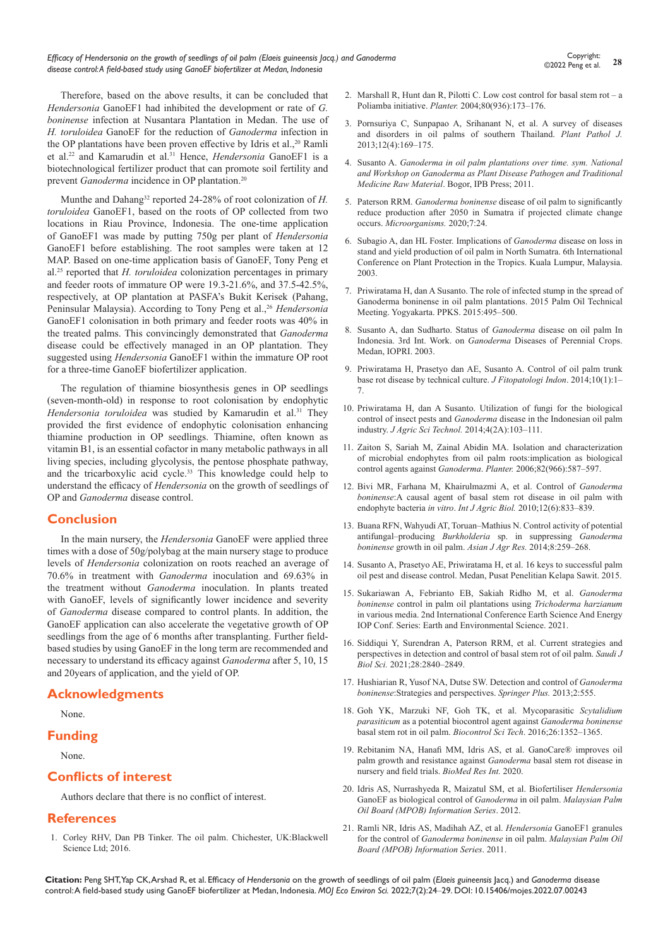Therefore, based on the above results, it can be concluded that *Hendersonia* GanoEF1 had inhibited the development or rate of *G. boninense* infection at Nusantara Plantation in Medan. The use of *H. toruloidea* GanoEF for the reduction of *Ganoderma* infection in the OP plantations have been proven effective by Idris et al.,<sup>20</sup> Ramli et al.22 and Kamarudin et al.31 Hence, *Hendersonia* GanoEF1 is a biotechnological fertilizer product that can promote soil fertility and prevent *Ganoderma* incidence in OP plantation.<sup>20</sup>

Munthe and Dahang<sup>32</sup> reported 24-28% of root colonization of *H*. *toruloidea* GanoEF1, based on the roots of OP collected from two locations in Riau Province, Indonesia. The one-time application of GanoEF1 was made by putting 750g per plant of *Hendersonia*  GanoEF1 before establishing. The root samples were taken at 12 MAP. Based on one-time application basis of GanoEF, Tony Peng et al.25 reported that *H. toruloidea* colonization percentages in primary and feeder roots of immature OP were 19.3-21.6%, and 37.5-42.5%, respectively, at OP plantation at PASFA's Bukit Kerisek (Pahang, Peninsular Malaysia). According to Tony Peng et al.,<sup>26</sup> *Hendersonia* GanoEF1 colonisation in both primary and feeder roots was 40% in the treated palms. This convincingly demonstrated that *Ganoderma* disease could be effectively managed in an OP plantation. They suggested using *Hendersonia* GanoEF1 within the immature OP root for a three-time GanoEF biofertilizer application.

The regulation of thiamine biosynthesis genes in OP seedlings (seven-month-old) in response to root colonisation by endophytic *Hendersonia toruloidea* was studied by Kamarudin et al.<sup>31</sup> They provided the first evidence of endophytic colonisation enhancing thiamine production in OP seedlings. Thiamine, often known as vitamin B1, is an essential cofactor in many metabolic pathways in all living species, including glycolysis, the pentose phosphate pathway, and the tricarboxylic acid cycle.33 This knowledge could help to understand the efficacy of *Hendersonia* on the growth of seedlings of OP and *Ganoderma* disease control.

# **Conclusion**

In the main nursery, the *Hendersonia* GanoEF were applied three times with a dose of 50g/polybag at the main nursery stage to produce levels of *Hendersonia* colonization on roots reached an average of 70.6% in treatment with *Ganoderma* inoculation and 69.63% in the treatment without *Ganoderma* inoculation. In plants treated with GanoEF, levels of significantly lower incidence and severity of *Ganoderma* disease compared to control plants. In addition, the GanoEF application can also accelerate the vegetative growth of OP seedlings from the age of 6 months after transplanting. Further fieldbased studies by using GanoEF in the long term are recommended and necessary to understand its efficacy against *Ganoderma* after 5, 10, 15 and 20years of application, and the yield of OP.

# **Acknowledgments**

None.

### **Funding**

None.

# **Conflicts of interest**

Authors declare that there is no conflict of interest.

# **References**

1. [Corley RHV, Dan PB Tinker. The oil palm. Chichester, UK:Blackwell](https://www.wiley.com/en-us/The+Oil+Palm%2C+5th+Edition-p-9781405189392)  [Science Ltd; 2016.](https://www.wiley.com/en-us/The+Oil+Palm%2C+5th+Edition-p-9781405189392)

- 2. Marshall R, Hunt dan R, Pilotti C. Low cost control for basal stem rot a Poliamba initiative. *Planter.* 2004;80(936):173–176.
- 3. [Pornsuriya C, Sunpapao A, Srihanant N, et al. A survey of diseases](https://scialert.net/abstract/?doi=ppj.2013.169.175)  [and disorders in oil palms of southern Thailand.](https://scialert.net/abstract/?doi=ppj.2013.169.175) *Plant Pathol J.* [2013;12\(4\):169–175.](https://scialert.net/abstract/?doi=ppj.2013.169.175)
- 4. Susanto A. *Ganoderma in oil palm plantations over time. sym. National and Workshop on Ganoderma as Plant Disease Pathogen and Traditional Medicine Raw Material*. Bogor, IPB Press; 2011.
- 5. Paterson RRM. *Ganoderma boninense* [disease of oil palm to significantly](https://pubmed.ncbi.nlm.nih.gov/30669456/)  [reduce production after 2050 in Sumatra if projected climate change](https://pubmed.ncbi.nlm.nih.gov/30669456/)  occurs. *[Microorganisms.](https://pubmed.ncbi.nlm.nih.gov/30669456/)* 2020;7:24.
- 6. Subagio A, dan HL Foster. Implications of *Ganoderma* disease on loss in stand and yield production of oil palm in North Sumatra. 6th International Conference on Plant Protection in the Tropics. Kuala Lumpur, Malaysia. 2003.
- 7. Priwiratama H, dan A Susanto. The role of infected stump in the spread of Ganoderma boninense in oil palm plantations. 2015 Palm Oil Technical Meeting. Yogyakarta. PPKS. 2015:495–500.
- 8. Susanto A, dan Sudharto. Status of *Ganoderma* disease on oil palm In Indonesia. 3rd Int. Work. on *Ganoderma* Diseases of Perennial Crops. Medan, IOPRI. 2003.
- 9. [Priwiratama H, Prasetyo dan AE, Susanto A. Control of oil palm trunk](https://journal.ipb.ac.id/index.php/jfiti/article/view/8516)  [base rot disease by technical culture.](https://journal.ipb.ac.id/index.php/jfiti/article/view/8516) *J Fitopatologi Indon*. 2014;10(1):1– [7.](https://journal.ipb.ac.id/index.php/jfiti/article/view/8516)
- 10. [Priwiratama H, dan A Susanto. Utilization of fungi for the biological](https://www.proquest.com/info/openurldocerror;jsessionid=015E12E449FD59EFAFB751078CEF8676.i-0a036332f3abad1c8)  control of insect pests and *Ganoderma* [disease in the Indonesian oil palm](https://www.proquest.com/info/openurldocerror;jsessionid=015E12E449FD59EFAFB751078CEF8676.i-0a036332f3abad1c8)  industry. *J Agric Sci Technol.* [2014;4\(2A\):103–111.](https://www.proquest.com/info/openurldocerror;jsessionid=015E12E449FD59EFAFB751078CEF8676.i-0a036332f3abad1c8)
- 11. [Zaiton S, Sariah M, Zainal Abidin MA. Isolation and characterization](https://www.cabdirect.org/cabdirect/abstract/20073000773)  [of microbial endophytes from oil palm roots:implication as biological](https://www.cabdirect.org/cabdirect/abstract/20073000773)  control agents against *Ganoderma*. *Planter.* [2006;82\(966\):587–597.](https://www.cabdirect.org/cabdirect/abstract/20073000773)
- 12. [Bivi MR, Farhana M, Khairulmazmi A, et al. Control of](http://www.fspublishers.org/published_papers/53592_..pdf) *Ganoderma boninense*[:A causal agent of basal stem rot disease in oil palm with](http://www.fspublishers.org/published_papers/53592_..pdf)  endophyte bacteria *in vitro*. *Int J Agric Biol.* [2010;12\(6\):833–839.](http://www.fspublishers.org/published_papers/53592_..pdf)
- 13. [Buana RFN, Wahyudi AT, Toruan–Mathius N. Control activity of potential](https://scialert.net/abstract/?doi=ajar.2014.259.268)  antifungal–producing *Burkholderia* [sp. in suppressing](https://scialert.net/abstract/?doi=ajar.2014.259.268) *Ganoderma boninense* [growth in oil palm.](https://scialert.net/abstract/?doi=ajar.2014.259.268) *Asian J Agr Res.* 2014;8:259–268.
- 14. [Susanto A, Prasetyo AE, Priwiratama H, et al. 16 keys to successful palm](https://publikasi.iopri.org/produk/kunci-sukses-pengendalian-hama-penyakit-kelapa-sawit/)  [oil pest and disease control. Medan, Pusat Penelitian Kelapa Sawit. 2015.](https://publikasi.iopri.org/produk/kunci-sukses-pengendalian-hama-penyakit-kelapa-sawit/)
- 15. [Sukariawan A, Febrianto EB, Sakiah Ridho M, et al.](https://iopscience.iop.org/article/10.1088/1755-1315/819/1/012001) *Ganoderma boninense* [control in palm oil plantations using](https://iopscience.iop.org/article/10.1088/1755-1315/819/1/012001) *Trichoderma harzianum*  [in various media. 2nd International Conference Earth Science And Energy](https://iopscience.iop.org/article/10.1088/1755-1315/819/1/012001)  [IOP Conf. Series: Earth and Environmental Science. 2021.](https://iopscience.iop.org/article/10.1088/1755-1315/819/1/012001)
- 16. [Siddiqui Y, Surendran A, Paterson RRM, et al. Current strategies and](https://www.sciencedirect.com/science/article/pii/S1319562X21000863)  [perspectives in detection and control of basal stem rot of oil palm.](https://www.sciencedirect.com/science/article/pii/S1319562X21000863) *Saudi J Biol Sci.* [2021;28:2840–2849.](https://www.sciencedirect.com/science/article/pii/S1319562X21000863)
- 17. [Hushiarian R, Yusof NA, Dutse SW. Detection and control of](https://pubmed.ncbi.nlm.nih.gov/24255849/) *Ganoderma boninense*[:Strategies and perspectives.](https://pubmed.ncbi.nlm.nih.gov/24255849/) *Springer Plus.* 2013;2:555.
- 18. [Goh YK, Marzuki NF, Goh TK, et al. Mycoparasitic](https://www.tandfonline.com/doi/abs/10.1080/09583157.2016.1202192) *Scytalidium parasiticum* [as a potential biocontrol agent against](https://www.tandfonline.com/doi/abs/10.1080/09583157.2016.1202192) *Ganoderma boninense* [basal stem rot in oil palm.](https://www.tandfonline.com/doi/abs/10.1080/09583157.2016.1202192) *Biocontrol Sci Tech*. 2016;26:1352–1365.
- 19. [Rebitanim NA, Hanafi MM, Idris AS, et al. GanoCare](https://www.hindawi.com/journals/bmri/2020/3063710/)® improves oil [palm growth and resistance against](https://www.hindawi.com/journals/bmri/2020/3063710/) *Ganoderma* basal stem rot disease in [nursery and field trials.](https://www.hindawi.com/journals/bmri/2020/3063710/) *BioMed Res Int.* 2020.
- 20. Idris AS, Nurrashyeda R, Maizatul SM, et al. Biofertiliser *Hendersonia*  GanoEF as biological control of *Ganoderma* in oil palm. *Malaysian Palm Oil Board (MPOB) Information Series*. 2012.
- 21. [Ramli NR, Idris AS, Madihah AZ, et al.](http://palmoilis.mpob.gov.my/publications/TOT/TT-483.pdf) *Hendersonia* GanoEF1 granules for the control of *[Ganoderma boninense](http://palmoilis.mpob.gov.my/publications/TOT/TT-483.pdf)* in oil palm. *Malaysian Palm Oil [Board \(MPOB\) Information Series](http://palmoilis.mpob.gov.my/publications/TOT/TT-483.pdf)*. 2011.

**Citation:** Peng SHT, Yap CK, Arshad R, et al. Efficacy of *Hendersonia* on the growth of seedlings of oil palm (*Elaeis guineensis* Jacq.) and *Ganoderma* disease control: A field-based study using GanoEF biofertilizer at Medan, Indonesia. *MOJ Eco Environ Sci.* 2022;7(2):24‒29. DOI: [10.15406/mojes.2022.07.00243](https://doi.org/10.15406/mojes.2022.07.00243)